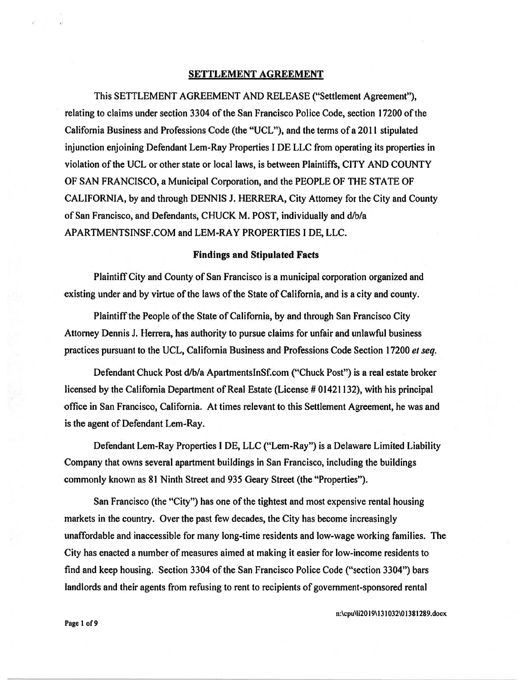#### SETTLEMENT AGREEMENT

This SETTLEMENT AGREEMENT AND RELEASE ("Settlement Agreement"), relating to claims under section 3304 of the San Francisco Police Code, section 17200 of the California Business and Professions Code (the "UCL"), and the terms of <sup>a</sup> 2011 stipulated injunction enjoining Defendant Lem-Ray Properties I DE LLC from operating its properties in violation ofthe UCL or other state or local laws, is between Plaintiffs, CITY AND COUNTY OF SAN FRANCISCO, <sup>a</sup> Municipal Corporation, and the PEOPLE OF THE STATE OF CALIFORNIA, by and through DENNIS J. HERRERA, City Attorney for the City and County of San Francisco, and Defendants, CHUCK M. POST, individually and d/b/a APARTMENTSINSF.COM and LEM-RAY PROPERTIES I DE, LLC.

#### Findings and Stipulated Facts

Plaintiff City and County of San Francisco is <sup>a</sup> municipal corporation organized and existing under and by virtue of the laws of the State of California, and is <sup>a</sup> city and county.

Plaintiff the People of the State of California, by and through San Francisco City Attorney Dennis J. Herrera, has authority to pursue claims for unfair and unlawful business practices pursuan<sup>t</sup> to the UCL, California Business and Professions Code Section 17200 et seq.

Defendant Chuck Post d/b/a ApartmentsInSf.com ("Chuck Post") is a real estate broker licensed by the California Department of Real Estate (License # 01421132), with his principal office in San Francisco, California. At times relevant to this Settlement Agreement, he was and is the agen<sup>t</sup> of Defendant Lem-Ray.

Defendant Lem-Ray Properties I DE, LLC ("Lem-Ray") is <sup>a</sup> Delaware Limited Liability Company that owns several apartment buildings in San Francisco, including the buildings commonly known as 81 Ninth Street and 935 Geary Street (the "Properties").

San Francisco (the "City") has one of the tightest and most expensive rental housing markets in the country. Over the pas<sup>t</sup> few decades, the City has become increasingly unaffordable and inaccessible for many long-time residents and low-wage working families. The City has enacted <sup>a</sup> number of measures aimed at making it easier for low-income residents to find and keep housing. Section 3304 of the San Francisco Police Code ("section 3304") bars landlords and their agents from refusing to rent to recipients of government-sponsored rental

n:\epu\1120 19\1 31 032\01381289.docx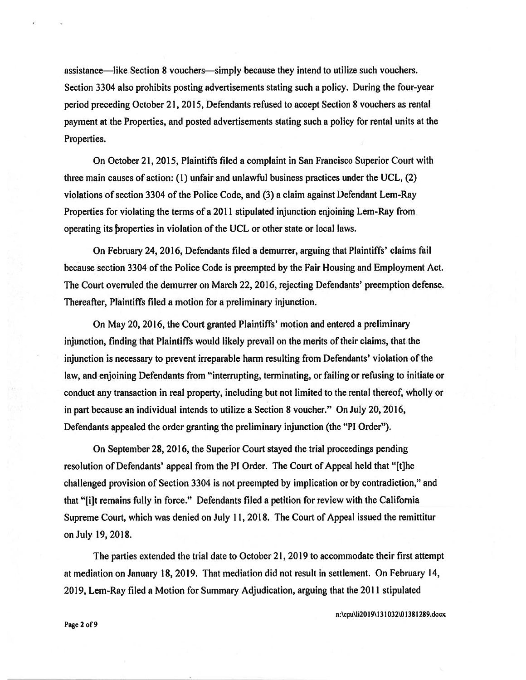assistance—like Section 8 vouchers—simply because they intend to utilize such vouchers. Section 3304 also prohibits posting advertisements stating such <sup>a</sup> policy. During the four-year period preceding October 21, 2015, Defendants refused to accep<sup>t</sup> Section 8 vouchers as rental paymen<sup>t</sup> at the Properties, and posted advertisements stating such <sup>a</sup> policy for rental units at the Properties.

On October 21, 2015, Plaintiffs filed <sup>a</sup> complaint in San Francisco Superior Court with three main causes of action:  $(1)$  unfair and unlawful business practices under the UCL,  $(2)$ violations of section 3304 of the Police Code, and (3) a claim against Defendant Lem-Ray Properties for violating the terms of <sup>a</sup> 2011 stipulated injunction enjoining Lem-Ray from operating its properties in violation of the UCL or other state or local laws.

On February 24, 2016, Defendants filed <sup>a</sup> demurrer, arguing that Plaintiffs' claims fail because section 3304 of the Police Code is preempted by the Fair Housing and Employment Act. The Court overruled the demurrer on March 22, 2016, rejecting Defendants' preemption defense. Thereafter, Plaintiffs filed <sup>a</sup> motion for <sup>a</sup> preliminary injunction.

On May 20, 2016, the Court granted Plaintiffs' motion and entered <sup>a</sup> preliminary injunction, finding that Plaintiffs would likely prevail on the merits oftheir claims, that the injunction is necessary to preven<sup>t</sup> irreparable harm resulting from Defendants' violation of the law, and enjoining Defendants from "interrupting, terminating, or failing or refusing to initiate or conduct any transaction in real property, including but not limited to the rental thereof, wholly or in par<sup>t</sup> because an individual intends to utilize <sup>a</sup> Section 8 voucher." On July 20, 2016, Defendants appealed the order granting the preliminary injunction (the "P1 Order").

On September 28, 2016, the Superior Court stayed the trial proceedings pending resolution of Defendants' appeal from the P1 Order. The Court of Appeal held that "[t]he challenged provision of Section 3304 is not preempted by implication or by contradiction," and that "[i]t remains fully in force." Defendants filed <sup>a</sup> petition for review with the California Supreme Court, which was denied on July 11, 2018. The Court of Appeal issued the remittitur onJuly 19, 2018.

The parties extended the trial date to October 21, 2019 to accommodate their first attempt at mediation on January 18, 2019. That mediation did not result in settlement. On February 14, 2019, Lem-Ray filed <sup>a</sup> Motion for Summary Adjudication, arguing that the 2011 stipulated

n:\epu\1i2019\I 31 032\O 138 1289.docx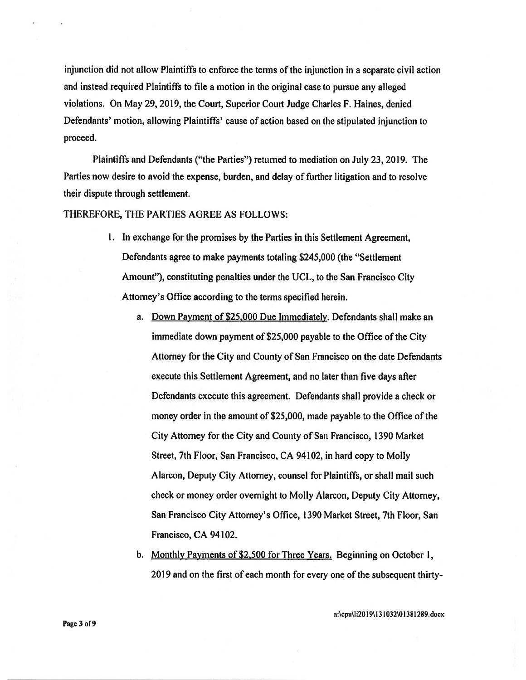injunction did not allow Plaintiffs to enforce the terms of the injunction in <sup>a</sup> separate civil action and instead required Plaintiffs to file <sup>a</sup> motion in the original case to pursue any alleged violations. On May 29, 2019, the Court, Superior Court Judge Charles F. Haines, denied Defendants' motion, allowing Plaintiffs' cause of action based on the stipulated injunction to proceed.

Plaintiffs and Defendants ("the Parties") returned to mediation on July 23, 2019. The Parties now desire to avoid the expense, burden, and delay of further litigation and to resolve their dispute through settlement.

THEREFORE, THE PARTIES AGREE AS FOLLOWS:

- I. In exchange for the promises by the Parties in this Settlement Agreement, Defendants agree to make payments totaling \$245,000 (the "Settlement Amount"), constituting penalties under the UCL, to the San Francisco City Attorney's Office according to the terms specified herein.
	- a. Down Payment of \$25.000 Due Immediately. Defendants shall make an immediate down payment of \$25,000 payable to the Office of the City Attorney for the City and County of San Francisco on the date Defendants execute this Settlement Agreement, and no later than five days after Defendants execute this agreement. Defendants shall provide <sup>a</sup> check or money order in the amount of \$25,000, made payable to the Office of the City Attorney for the City and County of San Francisco, 1390 Market Street, 7th Floor, San Francisco, CA 94102, in hard copy to Molly Alarcon, Deputy City Attorney, counsel for Plaintiffs, or shall mail such check or money order overnight to Molly Alarcon, Deputy City Attorney, San Francisco City Attorney's Office, 1390 Market Street, 7th Floor, San Francisco, CA 94102.
	- b. Monthly Payments of \$2,500 for Three Years. Beginning on October 1, 2019 and on the first of each month for every one of the subsequent thirty

n:\cpu\1120 19\1 31 032\01381 289.docx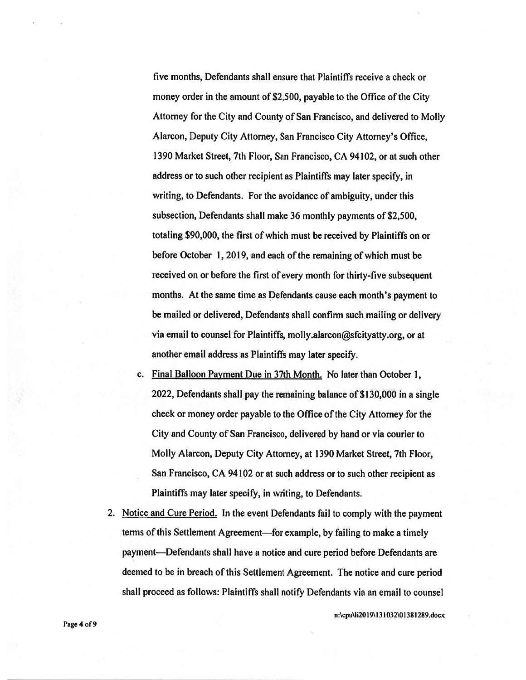five months, Defendants shall ensure that Plaintiffs receive <sup>a</sup> check or money order in the amount of \$2,500, payable to the Office of the City Attorney for the City and County of San Francisco, and delivered to Molly Alarcon, Deputy City Attorney, San Francisco City Attorney's Office, 1390 Market Street, 7th Floor, San Francisco, CA 94102, orat such other address or to such other recipient as Plaintiffs may later specify, in writing, to Defendants. For the avoidance of ambiguity, under this subsection, Defendants shall make 36 monthly payments of \$2,500, totaling \$90,000, the first of which must be received by Plaintiffs on or before October 1, 2019, and each of the remaining of which must be received on or before the first of every month for thirty-five subsequent months. At the same time as Defendants cause each month's paymen<sup>t</sup> to be mailed or delivered, Defendants shall confirm such mailing or delivery via email to counsel for Plaintiffs, molly.alarcon@sfcityatty.org, or at another email address as Plaintiffs may later specify.

- c. Final Balloon Payment Due in 37th Month. No later than October 1, 2022, Defendants shall pay the remaining balance of \$130,000 in <sup>a</sup> single check or money order payable to the Office of the City Attorney for the City and County of San Francisco, delivered by hand or via courier to Molly Alarcon, Deputy City Attorney, at 1390 Market Street, 7th Floor, San Francisco, CA 94102 or at such address or to such other recipient as Plaintiffs may later specify, in writing, to Defendants.
- 2. Notice and Cure Period. In the event Defendants fail to comply with the payment terms of this Settlement Agreement—for example, by failing to make <sup>a</sup> timely payment—Defendants shall have <sup>a</sup> notice and cure period before Defendants are deemed to be in breach of this Settlement Agreement. The notice and cure period shall proceed as follows: Plaintiffs shall notify Defendants via an email to counsel

n:\cpu\1i20 I 9\I 31 032\OI 381 289.docx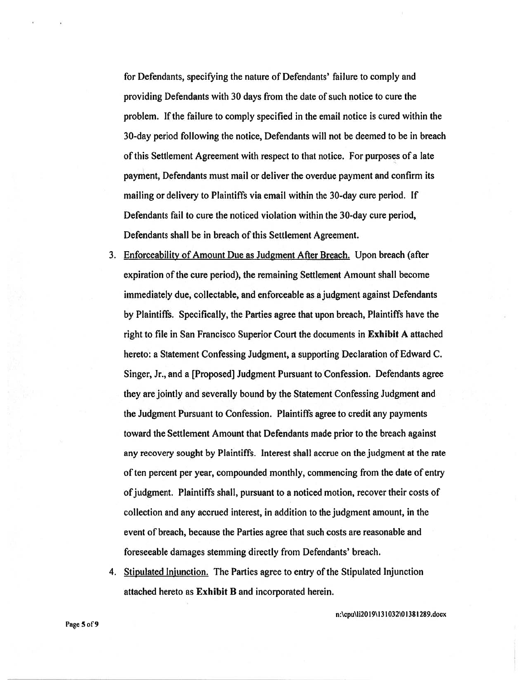for Defendants, specifying the nature of Defendants' failure to comply and providing Defendants with 30 days from the date of such notice to cure the problem. If the failure to comply specified in the email notice is cured within the 30-day period following the notice, Defendants will not be deemed to be in breach of this Settlement Agreement with respec<sup>t</sup> to that notice. For purposes of <sup>a</sup> late payment, Defendants must mail or deliver the overdue paymen<sup>t</sup> and confirm its mailing or delivery to Plaintiffs via email within the 30-day cure period. If Defendants fail to cure the noticed violation within the 30-day cure period, Defendants shall be in breach of this Settlement Agreement.

- 3. Enforceability of Amount Due as Judgment After Breach. Upon breach (after expiration of the cure period), the remaining Settlement Amount shall become immediately due, collectable, and enforceable as <sup>a</sup> judgment against Defendants by Plaintiffs. Specifically, the Parties agree that upon breach, Plaintiffs have the right to file in San Francisco Superior Court the documents in Exhibit <sup>A</sup> attached hereto: <sup>a</sup> Statement Confessing Judgment, <sup>a</sup> supporting Declaration of Edward C. Singer, Jr., and <sup>a</sup> [Proposed] Judgment Pursuant to Confession. Defendants agree they are jointly and severally bound by the Statement Confessing Judgment and the Judgment Pursuant to Confession. Plaintiffs agree to credit any payments toward the Settlement Amount that Defendants made prior to the breach against any recovery sought by Plaintiffs. Interest shall accrue on the judgment at the rate of ten percent per year, compounded monthly, commencing from the date of entry ofjudgment. Plaintiffs shall, pursuan<sup>t</sup> to <sup>a</sup> noticed motion, recover their costs of collection and any accrued interest, in addition to the judgment amount, in the event of breach, because the Parties agree that such costs are reasonable and foreseeable damages stemming directly from Defendants' breach.
- 4. Stipulated Injunction. The Parties agree to entry of the Stipulated Injunction attached hereto as Exhibit B and incorporated herein.

n:\cpu\1i2019\13 1032\01381289.docx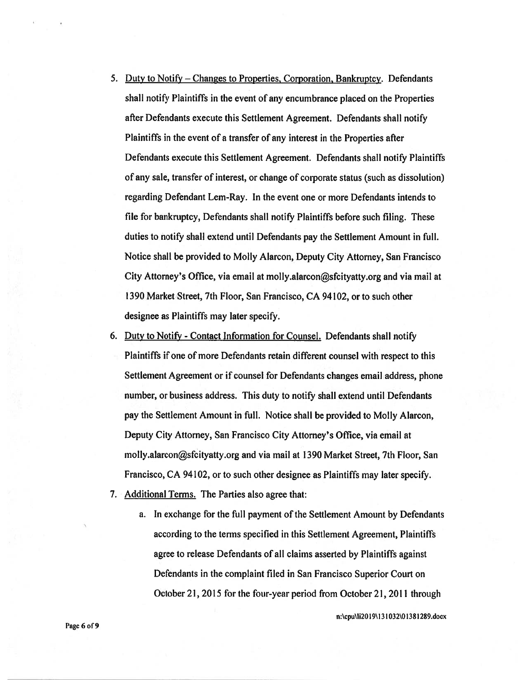- 5. Duty to Notify Changes to Properties, Corporation, Bankruptcy. Defendants shall notify Plaintiffs in the event of any encumbrance placed on the Properties after Defendants execute this Settlement Agreement. Defendants shall notify Plaintiffs in the event of <sup>a</sup> transfer of any interest in the Properties after Defendants execute this Settlement Agreement. Defendants shall notify Plaintiffs of any sale, transfer of interest, or change of corporate status (such as dissolution) regarding Defendant Lem-Ray. In the event one or more Defendants intends to file for bankruptcy, Defendants shall notify Plaintiffs before such filing. These duties to notify shall extend until Defendants pay the Settlement Amount in full. Notice shall be provided to Molly Alarcon, Deputy City Attorney, San Francisco City Attorney's Office, via email at molly.alarcon@sfcityatty.org and via mail at 1390 Market Street, 7th Floor, San Francisco, CA 94102, or to such other designee as Plaintiffs may later specify.
- 6. Duty to Notify Contact Information for Counsel. Defendants shall notify Plaintiffs if one of more Defendants retain different counsel with respec<sup>t</sup> to this Settlement Agreement or if counsel for Defendants changes email address, phone number, or business address. This duty to notify shall extend until Defendants pay the Settlement Amount in full. Notice shall be provided to Molly Alarcon, Deputy City Attorney, San Francisco City Attorney's Office, via email at molly.alarcon@sfcityatty.org and via mail at 1390 Market Street, 7th Floor, San Francisco, CA 94102, or to such other designee as Plaintiffs may later specify.
- 7. Additional Terms. The Parties also agree that:
	- a. In exchange for the full paymen<sup>t</sup> of the Settlement Amount by Defendants according to the terms specified in this Settlement Agreement, Plaintiffs agree to release Defendants of all claims asserted by Plaintiffs against Defendants in the complaint filed in San Francisco Superior Court on October 21, 2015 for the four-year period from October 21, 2011 through

n:\cpu\1i2019\1 31 O32\Ol381289.doc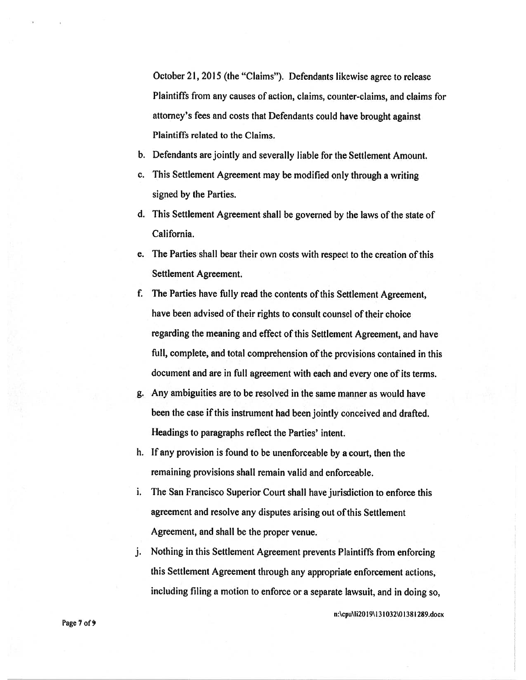October 21, <sup>2015</sup> (the "Claims"). Defendants likewise agree to release Plaintiffs from any causes of action, claims, counter-claims, and claims for attorney's fees and costs that Defendants could have brought against Plaintiffs related to the Claims.

- b. Defendants are jointly and severally liable for the Settlement Amount.
- c. This Settlement Agreement may be modified only through <sup>a</sup> writing signed by the Parties.
- d. This Settlement Agreement shall be governe<sup>d</sup> by the laws of the state of California.
- e. The Parties shall bear their own costs with respec<sup>t</sup> to the creation of this Settlement Agreement.
- f. The Parties have fully read the contents of this Settlement Agreement, have been advised of their rights to consult counsel of their choice regarding the meaning and effect of this Settlement Agreement, and have full, complete, and total comprehension of the provisions contained in this document and are in full agreemen<sup>t</sup> with each and every one of its terms.
- g. Any ambiguities are to be resolved in the same manner as would have been the case if this instrument had been jointly conceived and drafted. Headings to paragraphs reflect the Parties' intent.
- h. If any provision is found to be unenforceable by <sup>a</sup> court, then the remaining provisions shall remain valid and enforceable.
- i. The San Francisco Superior Court shall have jurisdiction to enforce this agreement and resolve any disputes arising out of this Settlement Agreement, and shall be the proper venue.
- j. Nothing in this Settlement Agreement prevents Plaintiffs from enforcing this Settlement Agreement through any appropriate enforcement actions, including filing <sup>a</sup> motion to enforce or <sup>a</sup> separate lawsuit, and in doing so,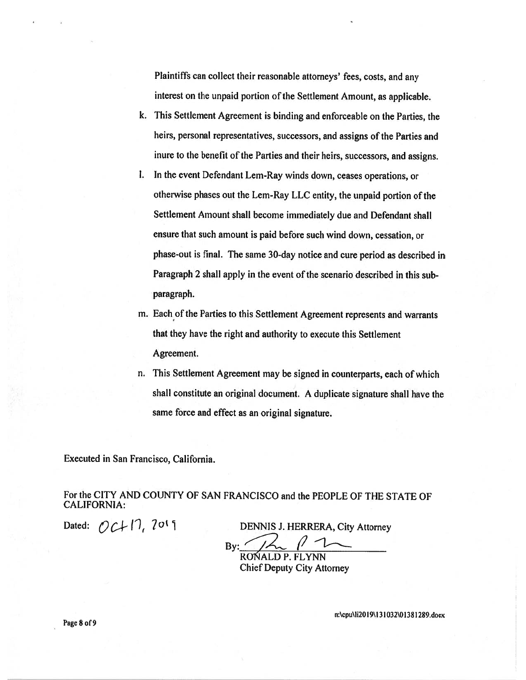Plaintiffs can collect their reasonable attorneys' fees, costs, and any interest on the unpaid portion of the Settlement Amount, as applicable.

- k. This Settlement Agreement is binding and enforceable on the Parties, the heirs, personal representatives, successors, and assigns of the Parties and inure to the benefit of the Parties and their heirs, successors, and assigns.
- I. In the event Defendant Lem-Ray winds down, ceases operations, or otherwise phases out the Lem-Ray LLC entity, the unpaid portion of the Settlement Amount shall become immediately due and Defendant shall ensure that such amount is paid before such wind down, cessation, or <sup>p</sup>hase-out is final. The same 30-day notice and cure period as described in Paragraph 2 shall apply in the event of the scenario described in this subparagraph.
- m. Each of the Parties to this Settlement Agreement represents and warrants that they have the right and authority to execute this Settlement Agreement.
- n. This Settlement Agreement may be signed in counterparts, each of which shall constitute an original document. <sup>A</sup> duplicate signature shall have the same force and effect as an original signature.

Executed in San Francisco, California.

For the CITY AND COUNTY OF SAN FRANCISCO and the PEOPLE OF THE STATE OF CALIFORNIA:

Dated:  $\bigcirc$   $\bigcirc$   $\bigcap$   $\bigcirc$   $\bigcirc$   $\bigcirc$   $\bigcirc$   $\bigcirc$   $\bigcirc$   $\bigcirc$   $\bigcirc$   $\bigcirc$   $\bigcirc$   $\bigcirc$   $\bigcirc$   $\bigcirc$   $\bigcirc$   $\bigcirc$   $\bigcirc$   $\bigcirc$   $\bigcirc$   $\bigcirc$   $\bigcirc$   $\bigcirc$   $\bigcirc$   $\bigcirc$   $\bigcirc$   $\bigcirc$   $\bigcirc$   $\bigcirc$   $\bigcirc$   $\bigcirc$   $\bigcirc$   $\bigcirc$   $\bigcirc$   $\bigcirc$ 

By:  $1/\sqrt{2}$ 

RONALD P. FLYNN Chief Deputy City Attorney

n:\cpu\1i20 19\ 131 032\O 1381 289.docx

Page 8 of 9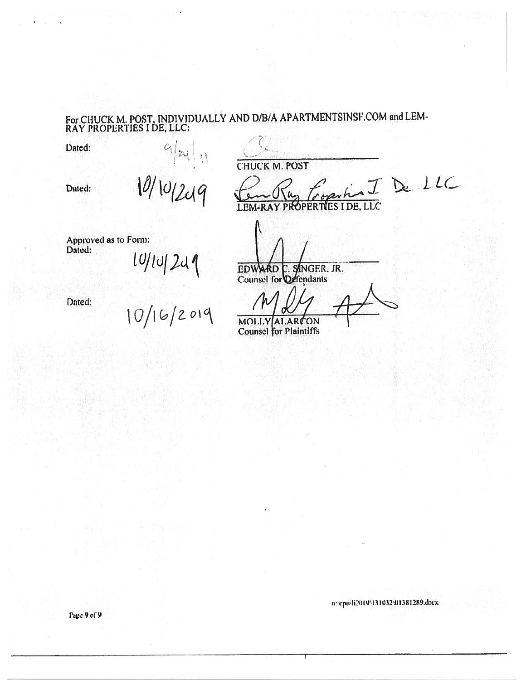# For CHUCK M. POST, INDIVIDUALLY AND D/B/A APARTMENTSINSF.COM and LEM-RAY PROPERTIES I DE, LLC:

Dated:

**CHUCK M. POST** 

Dated:

IDeLLC

 $\overline{\text{LLC}}$ **OPERTIES** 

Approved as to Form: Dated:

 $\frac{q}{2411}$ 

Dated:

10/10/249<br>10/16/2019

MOLLY ALARCON **Counsel** for Plaintiffs

EDWARD C. SINGER, JR.<br>Counsel for Ostendants

n: cpulli2019\131032\01381289.docx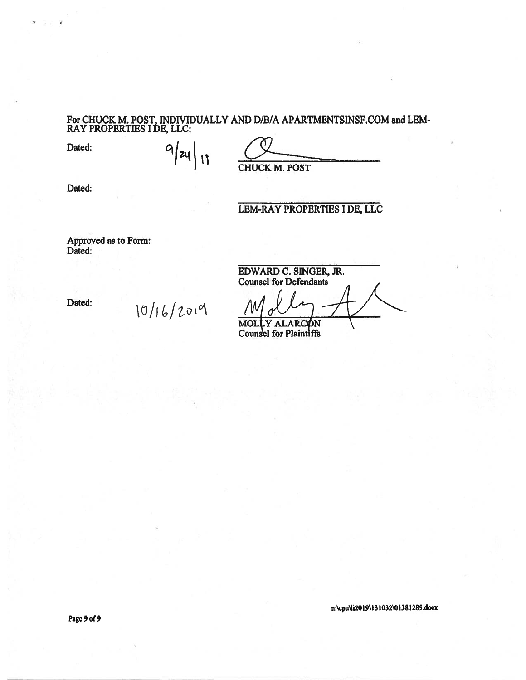#### For CHUCK M. POST, INDIVIDUALLY AND D/B/A APARTMENTSINSF.COM and LEM RAY PROPERTIES I DE, LLC:

Dated:

 $q$   $|z_4|$   $|1$ 

CHUCK M. POST

Dated:

## LEM-RAY PROPERTIES I DE, LLC

Approved as to Form: Dated:

Dated:

10/16/2019

EDWARD C. SINGER, JR Counsel for Defendants

MOLLY ALARCØN Counsel for Plaintiffs

n:\cpu\ii2019\13 1032\01381289.docx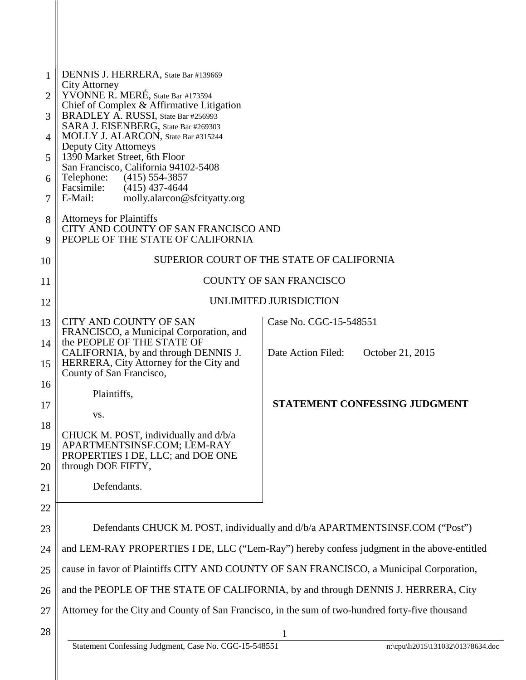| 1  | DENNIS J. HERRERA, State Bar #139669                                                                      |                                        |  |
|----|-----------------------------------------------------------------------------------------------------------|----------------------------------------|--|
|    | <b>City Attorney</b>                                                                                      |                                        |  |
| 2  | YVONNE R. MERÉ, State Bar #173594<br>Chief of Complex & Affirmative Litigation                            |                                        |  |
| 3  | BRADLEY A. RUSSI, State Bar #256993<br>SARA J. EISENBERG, State Bar #269303                               |                                        |  |
| 4  | MOLLY J. ALARCON, State Bar #315244                                                                       |                                        |  |
| 5  | <b>Deputy City Attorneys</b><br>1390 Market Street, 6th Floor                                             |                                        |  |
| 6  | San Francisco, California 94102-5408<br>Telephone:<br>$(415)$ 554-3857                                    |                                        |  |
| 7  | Facsimile: (415) 437-4644<br>E-Mail:<br>molly.alarcon@sfcityatty.org                                      |                                        |  |
| 8  | <b>Attorneys for Plaintiffs</b>                                                                           |                                        |  |
| 9  | CITY AND COUNTY OF SAN FRANCISCO AND<br>PEOPLE OF THE STATE OF CALIFORNIA                                 |                                        |  |
| 10 | SUPERIOR COURT OF THE STATE OF CALIFORNIA                                                                 |                                        |  |
| 11 | <b>COUNTY OF SAN FRANCISCO</b>                                                                            |                                        |  |
| 12 | UNLIMITED JURISDICTION                                                                                    |                                        |  |
| 13 | CITY AND COUNTY OF SAN<br>FRANCISCO, a Municipal Corporation, and                                         | Case No. CGC-15-548551                 |  |
| 14 | the PEOPLE OF THE STATE OF<br>CALIFORNIA, by and through DENNIS J.                                        | Date Action Filed:<br>October 21, 2015 |  |
| 15 | HERRERA, City Attorney for the City and<br>County of San Francisco,                                       |                                        |  |
| 16 | Plaintiffs,                                                                                               |                                        |  |
| 17 |                                                                                                           | STATEMENT CONFESSING JUDGMENT          |  |
| 18 | VS.                                                                                                       |                                        |  |
| 19 | CHUCK M. POST, individually and d/b/a<br>APARTMENTSINSF.COM: LEM-RAY<br>PROPERTIES I DE, LLC; and DOE ONE |                                        |  |
| 20 | through DOE FIFTY,                                                                                        |                                        |  |
| 21 | Defendants.                                                                                               |                                        |  |
| 22 |                                                                                                           |                                        |  |
| 23 | Defendants CHUCK M. POST, individually and d/b/a APARTMENTSINSF.COM ("Post")                              |                                        |  |
| 24 | and LEM-RAY PROPERTIES I DE, LLC ("Lem-Ray") hereby confess judgment in the above-entitled                |                                        |  |
| 25 | cause in favor of Plaintiffs CITY AND COUNTY OF SAN FRANCISCO, a Municipal Corporation,                   |                                        |  |
| 26 | and the PEOPLE OF THE STATE OF CALIFORNIA, by and through DENNIS J. HERRERA, City                         |                                        |  |
| 27 | Attorney for the City and County of San Francisco, in the sum of two-hundred forty-five thousand          |                                        |  |
| 28 |                                                                                                           |                                        |  |
|    | Statement Confessing Judgment, Case No. CGC-15-548551                                                     | n:\cpu\li2015\131032\01378634.doc      |  |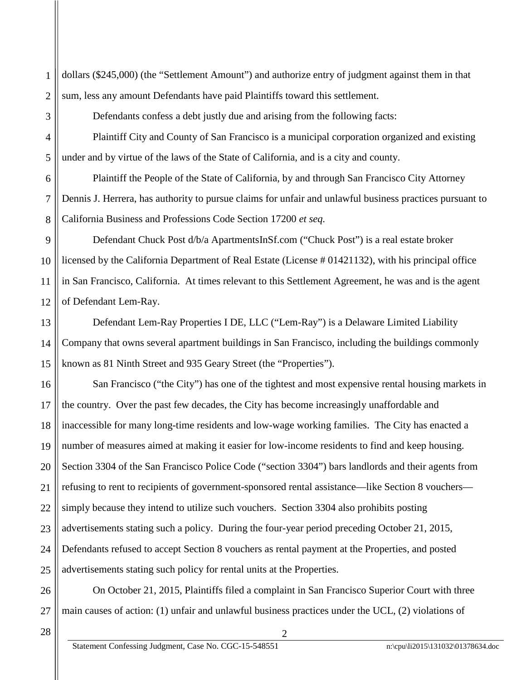dollars (\$245,000) (the "Settlement Amount") and authorize entry of judgment against them in that sum, less any amount Defendants have paid Plaintiffs toward this settlement.

Defendants confess a debt justly due and arising from the following facts:

Plaintiff City and County of San Francisco is a municipal corporation organized and existing under and by virtue of the laws of the State of California, and is a city and county.

Plaintiff the People of the State of California, by and through San Francisco City Attorney Dennis J. Herrera, has authority to pursue claims for unfair and unlawful business practices pursuant to California Business and Professions Code Section 17200 *et seq.*

Defendant Chuck Post d/b/a ApartmentsInSf.com ("Chuck Post") is a real estate broker licensed by the California Department of Real Estate (License # 01421132), with his principal office in San Francisco, California. At times relevant to this Settlement Agreement, he was and is the agent of Defendant Lem-Ray.

Defendant Lem-Ray Properties I DE, LLC ("Lem-Ray") is a Delaware Limited Liability Company that owns several apartment buildings in San Francisco, including the buildings commonly known as 81 Ninth Street and 935 Geary Street (the "Properties").

16 17 18 19 20 21 22 23 24 25 San Francisco ("the City") has one of the tightest and most expensive rental housing markets in the country. Over the past few decades, the City has become increasingly unaffordable and inaccessible for many long-time residents and low-wage working families. The City has enacted a number of measures aimed at making it easier for low-income residents to find and keep housing. Section 3304 of the San Francisco Police Code ("section 3304") bars landlords and their agents from refusing to rent to recipients of government-sponsored rental assistance—like Section 8 vouchers simply because they intend to utilize such vouchers. Section 3304 also prohibits posting advertisements stating such a policy. During the four-year period preceding October 21, 2015, Defendants refused to accept Section 8 vouchers as rental payment at the Properties, and posted advertisements stating such policy for rental units at the Properties.

26 27 On October 21, 2015, Plaintiffs filed a complaint in San Francisco Superior Court with three main causes of action: (1) unfair and unlawful business practices under the UCL, (2) violations of

2

28

1

2

3

4

5

6

7

8

9

10

11

12

13

14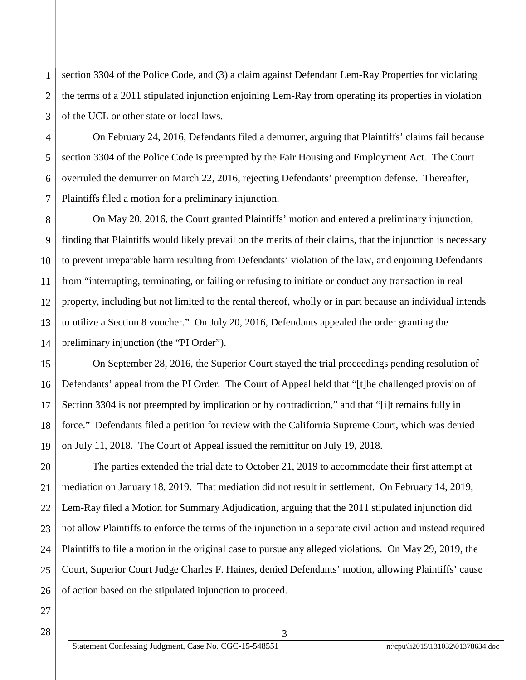1 2 3 section 3304 of the Police Code, and (3) a claim against Defendant Lem-Ray Properties for violating the terms of a 2011 stipulated injunction enjoining Lem-Ray from operating its properties in violation of the UCL or other state or local laws.

On February 24, 2016, Defendants filed a demurrer, arguing that Plaintiffs' claims fail because section 3304 of the Police Code is preempted by the Fair Housing and Employment Act. The Court overruled the demurrer on March 22, 2016, rejecting Defendants' preemption defense. Thereafter, Plaintiffs filed a motion for a preliminary injunction.

On May 20, 2016, the Court granted Plaintiffs' motion and entered a preliminary injunction, finding that Plaintiffs would likely prevail on the merits of their claims, that the injunction is necessary to prevent irreparable harm resulting from Defendants' violation of the law, and enjoining Defendants from "interrupting, terminating, or failing or refusing to initiate or conduct any transaction in real property, including but not limited to the rental thereof, wholly or in part because an individual intends to utilize a Section 8 voucher." On July 20, 2016, Defendants appealed the order granting the preliminary injunction (the "PI Order").

On September 28, 2016, the Superior Court stayed the trial proceedings pending resolution of Defendants' appeal from the PI Order. The Court of Appeal held that "[t]he challenged provision of Section 3304 is not preempted by implication or by contradiction," and that "[i]t remains fully in force." Defendants filed a petition for review with the California Supreme Court, which was denied on July 11, 2018. The Court of Appeal issued the remittitur on July 19, 2018.

The parties extended the trial date to October 21, 2019 to accommodate their first attempt at mediation on January 18, 2019. That mediation did not result in settlement. On February 14, 2019, Lem-Ray filed a Motion for Summary Adjudication, arguing that the 2011 stipulated injunction did not allow Plaintiffs to enforce the terms of the injunction in a separate civil action and instead required Plaintiffs to file a motion in the original case to pursue any alleged violations. On May 29, 2019, the Court, Superior Court Judge Charles F. Haines, denied Defendants' motion, allowing Plaintiffs' cause of action based on the stipulated injunction to proceed.

3

4

5

6

7

8

9

10

11

12

13

14

15

16

17

18

19

20

21

22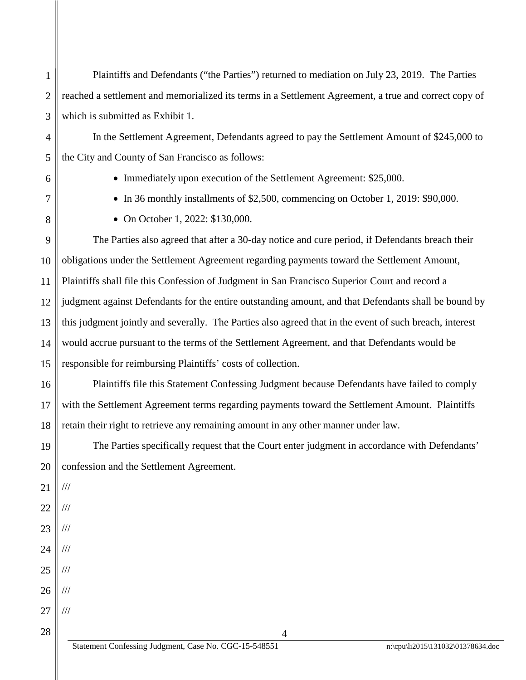1 2 3 Plaintiffs and Defendants ("the Parties") returned to mediation on July 23, 2019. The Parties reached a settlement and memorialized its terms in a Settlement Agreement, a true and correct copy of which is submitted as Exhibit 1.

In the Settlement Agreement, Defendants agreed to pay the Settlement Amount of \$245,000 to the City and County of San Francisco as follows:

4

5

6

7

8

• Immediately upon execution of the Settlement Agreement: \$25,000.

- In 36 monthly installments of \$2,500, commencing on October 1, 2019: \$90,000.
- On October 1, 2022: \$130,000.

9 10 11 12 13 14 15 The Parties also agreed that after a 30-day notice and cure period, if Defendants breach their obligations under the Settlement Agreement regarding payments toward the Settlement Amount, Plaintiffs shall file this Confession of Judgment in San Francisco Superior Court and record a judgment against Defendants for the entire outstanding amount, and that Defendants shall be bound by this judgment jointly and severally. The Parties also agreed that in the event of such breach, interest would accrue pursuant to the terms of the Settlement Agreement, and that Defendants would be responsible for reimbursing Plaintiffs' costs of collection.

16 17 18 Plaintiffs file this Statement Confessing Judgment because Defendants have failed to comply with the Settlement Agreement terms regarding payments toward the Settlement Amount. Plaintiffs retain their right to retrieve any remaining amount in any other manner under law.

19 20 The Parties specifically request that the Court enter judgment in accordance with Defendants' confession and the Settlement Agreement.

4

21 22 ///

///

///

///

///

///

23 24

25 ///

26 27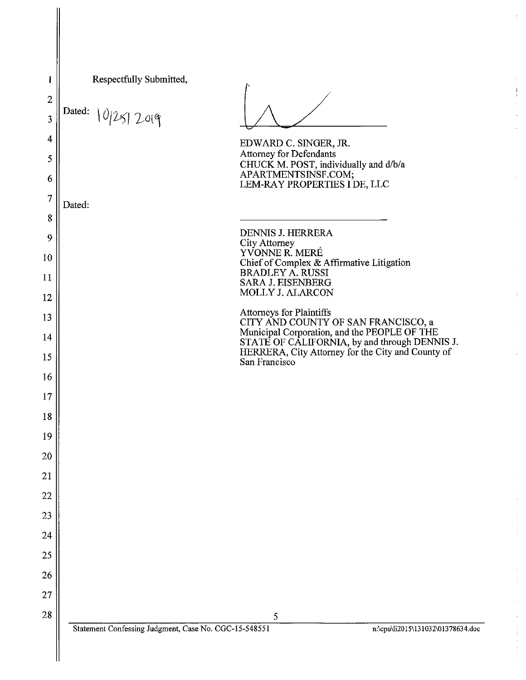| 1              | Respectfully Submitted,                               |                                                                                                    |                                   |
|----------------|-------------------------------------------------------|----------------------------------------------------------------------------------------------------|-----------------------------------|
| $\overline{c}$ |                                                       |                                                                                                    |                                   |
| 3              | Dated: 10/25/2019                                     |                                                                                                    |                                   |
| 4              |                                                       | EDWARD C. SINGER, JR.                                                                              |                                   |
| 5              |                                                       | <b>Attorney for Defendants</b><br>CHUCK M. POST, individually and d/b/a                            |                                   |
| 6              |                                                       | APARTMENTSINSF.COM;<br>LEM-RAY PROPERTIES I DE, LLC                                                |                                   |
| $\overline{7}$ | Dated:                                                |                                                                                                    |                                   |
| 8              |                                                       |                                                                                                    |                                   |
| 9              |                                                       | DENNIS J. HERRERA<br>City Attorney<br>YVONNE R. MERÉ                                               |                                   |
| 10             |                                                       | Chief of Complex & Affirmative Litigation<br><b>BRADLEY A. RUSSI</b>                               |                                   |
| 11             |                                                       | <b>SARA J. EISENBERG</b><br>MOLLY J. ALARCON                                                       |                                   |
| 12             |                                                       | Attorneys for Plaintiffs                                                                           |                                   |
| 13             |                                                       | CITY AND COUNTY OF SAN FRANCISCO, a<br>Municipal Corporation, and the PEOPLE OF THE                |                                   |
| 14             |                                                       | STATE OF CALIFORNIA, by and through DENNIS J.<br>HERRERA, City Attorney for the City and County of |                                   |
| 15<br>16       |                                                       | San Francisco                                                                                      |                                   |
| 17             |                                                       |                                                                                                    |                                   |
| 18             |                                                       |                                                                                                    |                                   |
| 19             |                                                       |                                                                                                    |                                   |
| 20             |                                                       |                                                                                                    |                                   |
| 21             |                                                       |                                                                                                    |                                   |
| 22             |                                                       |                                                                                                    |                                   |
| 23             |                                                       |                                                                                                    |                                   |
| 24             |                                                       |                                                                                                    |                                   |
| 25             |                                                       |                                                                                                    |                                   |
| 26             |                                                       |                                                                                                    |                                   |
| 27             |                                                       |                                                                                                    |                                   |
| 28             |                                                       | 5                                                                                                  |                                   |
|                | Statement Confessing Judgment, Case No. CGC-15-548551 |                                                                                                    | n:\cpu\li2015\131032\01378634.doc |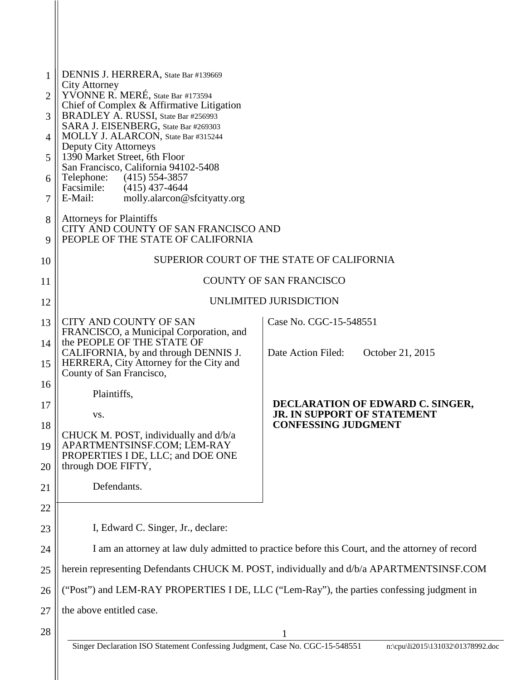| 1  | DENNIS J. HERRERA, State Bar #139669                                                            |                                                                 |  |
|----|-------------------------------------------------------------------------------------------------|-----------------------------------------------------------------|--|
| 2  | <b>City Attorney</b><br>YVONNE R. MERE, State Bar #173594                                       |                                                                 |  |
| 3  | Chief of Complex & Affirmative Litigation<br>BRADLEY A. RUSSI, State Bar #256993                |                                                                 |  |
| 4  | SARA J. EISENBERG, State Bar #269303<br>MOLLY J. ALARCON, State Bar #315244                     |                                                                 |  |
| 5  | <b>Deputy City Attorneys</b><br>1390 Market Street, 6th Floor                                   |                                                                 |  |
| 6  | San Francisco, California 94102-5408<br>Telephone:<br>$(415)$ 554-3857                          |                                                                 |  |
| 7  | Facsimile:<br>$(415)$ 437-4644<br>molly.alarcon@sfcityatty.org<br>E-Mail:                       |                                                                 |  |
| 8  | <b>Attorneys for Plaintiffs</b>                                                                 |                                                                 |  |
| 9  | CITY AND COUNTY OF SAN FRANCISCO AND<br>PEOPLE OF THE STATE OF CALIFORNIA                       |                                                                 |  |
| 10 | SUPERIOR COURT OF THE STATE OF CALIFORNIA                                                       |                                                                 |  |
| 11 | <b>COUNTY OF SAN FRANCISCO</b>                                                                  |                                                                 |  |
| 12 | UNLIMITED JURISDICTION                                                                          |                                                                 |  |
| 13 | CITY AND COUNTY OF SAN<br>FRANCISCO, a Municipal Corporation, and                               | Case No. CGC-15-548551                                          |  |
| 14 | the PEOPLE OF THE STATE OF<br>CALIFORNIA, by and through DENNIS J.                              | Date Action Filed:<br>October 21, 2015                          |  |
| 15 | HERRERA, City Attorney for the City and<br>County of San Francisco,                             |                                                                 |  |
| 16 | Plaintiffs,                                                                                     |                                                                 |  |
| 17 | VS.                                                                                             | DECLARATION OF EDWARD C. SINGER,<br>JR. IN SUPPORT OF STATEMENT |  |
| 18 | CHUCK M. POST, individually and d/b/a                                                           | <b>CONFESSING JUDGMENT</b>                                      |  |
| 19 | APARTMENTSINSF.COM: LEM-RAY<br>PROPERTIES I DE, LLC; and DOE ONE                                |                                                                 |  |
| 20 | through DOE FIFTY,                                                                              |                                                                 |  |
| 21 | Defendants.                                                                                     |                                                                 |  |
| 22 |                                                                                                 |                                                                 |  |
| 23 | I, Edward C. Singer, Jr., declare:                                                              |                                                                 |  |
| 24 | I am an attorney at law duly admitted to practice before this Court, and the attorney of record |                                                                 |  |
| 25 | herein representing Defendants CHUCK M. POST, individually and d/b/a APARTMENTSINSF.COM         |                                                                 |  |
| 26 | ("Post") and LEM-RAY PROPERTIES I DE, LLC ("Lem-Ray"), the parties confessing judgment in       |                                                                 |  |
| 27 | the above entitled case.                                                                        |                                                                 |  |
| 28 |                                                                                                 |                                                                 |  |
|    | Singer Declaration ISO Statement Confessing Judgment, Case No. CGC-15-548551                    | n:\cpu\li2015\131032\01378992.doc                               |  |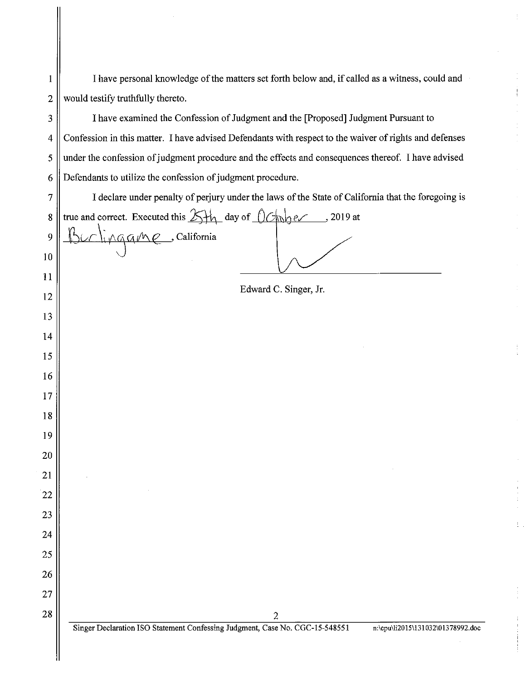| 1              | I have personal knowledge of the matters set forth below and, if called as a witness, could and                                                              |  |  |
|----------------|--------------------------------------------------------------------------------------------------------------------------------------------------------------|--|--|
| $\overline{2}$ | would testify truthfully thereto.                                                                                                                            |  |  |
| 3              | I have examined the Confession of Judgment and the [Proposed] Judgment Pursuant to                                                                           |  |  |
| 4              | Confession in this matter. I have advised Defendants with respect to the waiver of rights and defenses                                                       |  |  |
| 5              | under the confession of judgment procedure and the effects and consequences thereof. I have advised                                                          |  |  |
| 6              | Defendants to utilize the confession of judgment procedure.                                                                                                  |  |  |
| 7              | I declare under penalty of perjury under the laws of the State of California that the foregoing is                                                           |  |  |
| $\bf 8$        | true and correct. Executed this $\frac{1}{\sum_{i=1}^{n} \sum_{j=1}^{n} \frac{1}{j}}$ day of $\frac{1}{\sum_{i=1}^{n} \sum_{j=1}^{n} (x_i - x_j)^2}$ 2019 at |  |  |
| 9              | unlingame, California                                                                                                                                        |  |  |
| 10             |                                                                                                                                                              |  |  |
| 11             |                                                                                                                                                              |  |  |
| 12             | Edward C. Singer, Jr.                                                                                                                                        |  |  |
| 13             |                                                                                                                                                              |  |  |
| 14             |                                                                                                                                                              |  |  |
| 15             |                                                                                                                                                              |  |  |
| 16             |                                                                                                                                                              |  |  |
| 17             |                                                                                                                                                              |  |  |
| 18             |                                                                                                                                                              |  |  |
| 19             |                                                                                                                                                              |  |  |
| 20             |                                                                                                                                                              |  |  |
| 21             |                                                                                                                                                              |  |  |
| 22             |                                                                                                                                                              |  |  |
| 23             |                                                                                                                                                              |  |  |
| 24             |                                                                                                                                                              |  |  |
| 25             |                                                                                                                                                              |  |  |
| 26             |                                                                                                                                                              |  |  |
| 27             |                                                                                                                                                              |  |  |
| 28             | $\overline{c}$<br>Singer Declaration ISO Statement Confessing Judgment, Case No. CGC-15-548551<br>n:\cpu\li2015\131032\01378992.doc                          |  |  |
|                |                                                                                                                                                              |  |  |
|                |                                                                                                                                                              |  |  |

ŧ

 $\frac{1}{2}$ 

 $\frac{1}{2}$ 

ţ.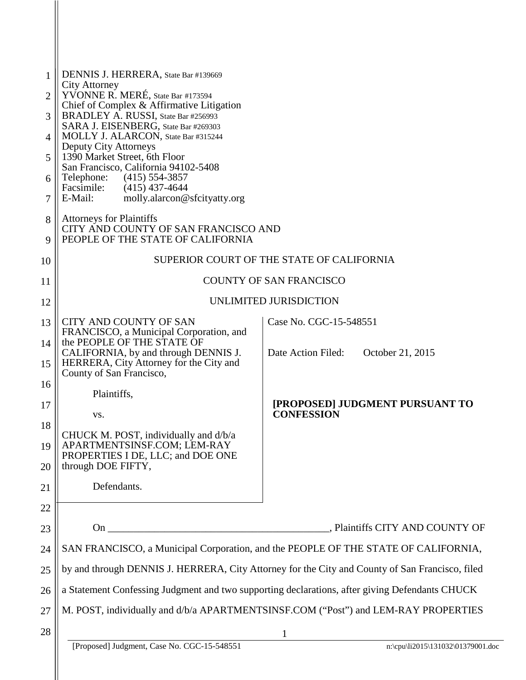| 1      | DENNIS J. HERRERA, State Bar #139669                                                                         |                                                      |  |
|--------|--------------------------------------------------------------------------------------------------------------|------------------------------------------------------|--|
| 2      | City Attorney<br>YVONNE R. MERÉ, State Bar #173594                                                           |                                                      |  |
| 3      | Chief of Complex & Affirmative Litigation<br>BRADLEY A. RUSSI, State Bar #256993                             |                                                      |  |
| 4      | SARA J. EISENBERG, State Bar #269303<br>MOLLY J. ALARCON, State Bar #315244                                  |                                                      |  |
| 5      | Deputy City Attorneys<br>1390 Market Street, 6th Floor                                                       |                                                      |  |
|        | San Francisco, California 94102-5408                                                                         |                                                      |  |
| 6      | Telephone: (415) 554-3857<br>Facsimile:<br>$(415)$ 437-4644<br>E-Mail:                                       |                                                      |  |
| 7      | molly.alarcon@sfcityatty.org                                                                                 |                                                      |  |
| 8<br>9 | <b>Attorneys for Plaintiffs</b><br>CITY AND COUNTY OF SAN FRANCISCO AND<br>PEOPLE OF THE STATE OF CALIFORNIA |                                                      |  |
| 10     | SUPERIOR COURT OF THE STATE OF CALIFORNIA                                                                    |                                                      |  |
| 11     | <b>COUNTY OF SAN FRANCISCO</b>                                                                               |                                                      |  |
| 12     | UNLIMITED JURISDICTION                                                                                       |                                                      |  |
| 13     | CITY AND COUNTY OF SAN                                                                                       | Case No. CGC-15-548551                               |  |
| 14     | FRANCISCO, a Municipal Corporation, and<br>the PEOPLE OF THE STATE OF                                        |                                                      |  |
| 15     | CALIFORNIA, by and through DENNIS J.<br>HERRERA, City Attorney for the City and<br>County of San Francisco,  | October 21, 2015<br>Date Action Filed:               |  |
| 16     | Plaintiffs,                                                                                                  |                                                      |  |
| 17     | VS.                                                                                                          | [PROPOSED] JUDGMENT PURSUANT TO<br><b>CONFESSION</b> |  |
| 18     | CHUCK M. POST, individually and d/b/a                                                                        |                                                      |  |
| 19     | APARTMENTSINSF.COM; LEM-RAY                                                                                  |                                                      |  |
| 20     | PROPERTIES I DE, LLC; and DOE ONE<br>through DOE FIFTY,                                                      |                                                      |  |
| 21     | Defendants.                                                                                                  |                                                      |  |
| 22     |                                                                                                              |                                                      |  |
| 23     |                                                                                                              |                                                      |  |
| 24     | SAN FRANCISCO, a Municipal Corporation, and the PEOPLE OF THE STATE OF CALIFORNIA,                           |                                                      |  |
| 25     | by and through DENNIS J. HERRERA, City Attorney for the City and County of San Francisco, filed              |                                                      |  |
| 26     | a Statement Confessing Judgment and two supporting declarations, after giving Defendants CHUCK               |                                                      |  |
| 27     | M. POST, individually and d/b/a APARTMENTSINSF.COM ("Post") and LEM-RAY PROPERTIES                           |                                                      |  |
| 28     |                                                                                                              | $\mathbf{1}$                                         |  |
|        | [Proposed] Judgment, Case No. CGC-15-548551                                                                  | n:\cpu\li2015\131032\01379001.doc                    |  |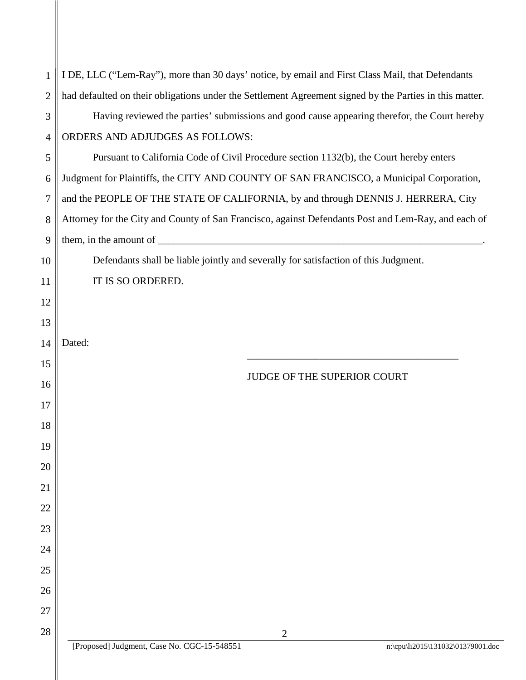| $\mathbf{1}$   | I DE, LLC ("Lem-Ray"), more than 30 days' notice, by email and First Class Mail, that Defendants                                                                                                                                                                                                                                                                                                              |  |  |
|----------------|---------------------------------------------------------------------------------------------------------------------------------------------------------------------------------------------------------------------------------------------------------------------------------------------------------------------------------------------------------------------------------------------------------------|--|--|
| $\overline{2}$ | had defaulted on their obligations under the Settlement Agreement signed by the Parties in this matter.                                                                                                                                                                                                                                                                                                       |  |  |
| 3              | Having reviewed the parties' submissions and good cause appearing therefor, the Court hereby                                                                                                                                                                                                                                                                                                                  |  |  |
| $\overline{4}$ | ORDERS AND ADJUDGES AS FOLLOWS:                                                                                                                                                                                                                                                                                                                                                                               |  |  |
| 5              | Pursuant to California Code of Civil Procedure section 1132(b), the Court hereby enters                                                                                                                                                                                                                                                                                                                       |  |  |
| 6              | Judgment for Plaintiffs, the CITY AND COUNTY OF SAN FRANCISCO, a Municipal Corporation,                                                                                                                                                                                                                                                                                                                       |  |  |
| 7              | and the PEOPLE OF THE STATE OF CALIFORNIA, by and through DENNIS J. HERRERA, City                                                                                                                                                                                                                                                                                                                             |  |  |
| 8              | Attorney for the City and County of San Francisco, against Defendants Post and Lem-Ray, and each of                                                                                                                                                                                                                                                                                                           |  |  |
| 9              | them, in the amount of $\frac{1}{\sqrt{1-\frac{1}{\sqrt{1-\frac{1}{\sqrt{1-\frac{1}{\sqrt{1-\frac{1}{\sqrt{1-\frac{1}{\sqrt{1-\frac{1}{\sqrt{1-\frac{1}{\sqrt{1-\frac{1}{\sqrt{1-\frac{1}{\sqrt{1-\frac{1}{\sqrt{1-\frac{1}{\sqrt{1-\frac{1}{\sqrt{1-\frac{1}{\sqrt{1-\frac{1}{\sqrt{1-\frac{1}{\sqrt{1-\frac{1}{\sqrt{1-\frac{1}{\sqrt{1-\frac{1}{\sqrt{1-\frac{1}{\sqrt{1-\frac{1}{\sqrt{1-\frac{1}{\sqrt{$ |  |  |
| 10             | Defendants shall be liable jointly and severally for satisfaction of this Judgment.                                                                                                                                                                                                                                                                                                                           |  |  |
| 11             | IT IS SO ORDERED.                                                                                                                                                                                                                                                                                                                                                                                             |  |  |
| 12             |                                                                                                                                                                                                                                                                                                                                                                                                               |  |  |
| 13             |                                                                                                                                                                                                                                                                                                                                                                                                               |  |  |
| 14             | Dated:                                                                                                                                                                                                                                                                                                                                                                                                        |  |  |
| 15             |                                                                                                                                                                                                                                                                                                                                                                                                               |  |  |
| 16             | JUDGE OF THE SUPERIOR COURT                                                                                                                                                                                                                                                                                                                                                                                   |  |  |
| 17             |                                                                                                                                                                                                                                                                                                                                                                                                               |  |  |
| 18             |                                                                                                                                                                                                                                                                                                                                                                                                               |  |  |
| 19             |                                                                                                                                                                                                                                                                                                                                                                                                               |  |  |
| 20             |                                                                                                                                                                                                                                                                                                                                                                                                               |  |  |
| 21             |                                                                                                                                                                                                                                                                                                                                                                                                               |  |  |
| 22             |                                                                                                                                                                                                                                                                                                                                                                                                               |  |  |
| 23             |                                                                                                                                                                                                                                                                                                                                                                                                               |  |  |
| 24             |                                                                                                                                                                                                                                                                                                                                                                                                               |  |  |
| 25             |                                                                                                                                                                                                                                                                                                                                                                                                               |  |  |
| 26             |                                                                                                                                                                                                                                                                                                                                                                                                               |  |  |
| 27             |                                                                                                                                                                                                                                                                                                                                                                                                               |  |  |
| 28             | $\overline{2}$                                                                                                                                                                                                                                                                                                                                                                                                |  |  |
|                | [Proposed] Judgment, Case No. CGC-15-548551<br>n:\cpu\li2015\131032\01379001.doc                                                                                                                                                                                                                                                                                                                              |  |  |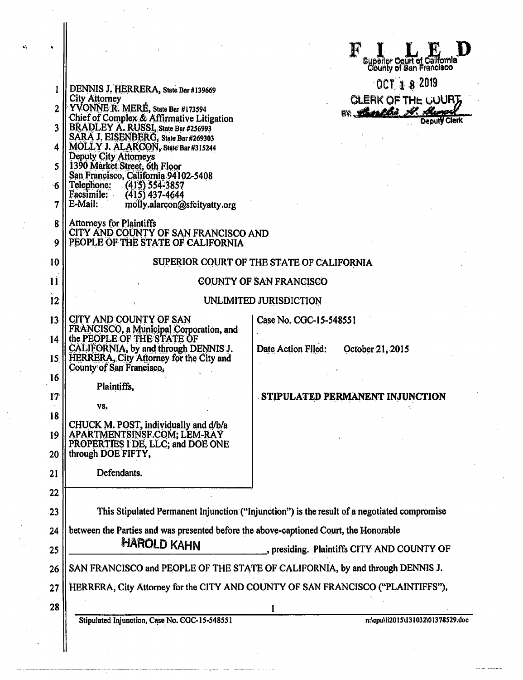|                       |                                                                                                                                           | Superior Court of California<br>County of San Francisco |  |
|-----------------------|-------------------------------------------------------------------------------------------------------------------------------------------|---------------------------------------------------------|--|
|                       | DENNIS J. HERRERA, State Bar #139669                                                                                                      | $0$ CT $18$ 2019                                        |  |
| 2                     | <b>City Attorney</b><br>YVONNE R. MERE, State Bar #173594                                                                                 | CLERK OF THE COURT                                      |  |
| 3                     | Chief of Complex & Affirmative Litigation<br>BRADLEY A. RUSSI, State Bar #256993                                                          | BY Banklie A. Aumor<br><b>Deputy Clerk</b>              |  |
| 4                     | SARA J. EISENBERG, State Bar #269303<br>MOLLY J. ALARCON, State Bar #315244                                                               |                                                         |  |
| 5.                    | Deputy City Attorneys<br>1390 Market Street, 6th Floor<br>San Francisco, California 94102-5408                                            |                                                         |  |
| `ճ                    | Telephone:<br>(415) 554-3857<br>Facsimile:<br>$(415)$ 437-4644                                                                            |                                                         |  |
| 7                     | E-Mail:<br>molly.alarcon@sfcityatty.org                                                                                                   |                                                         |  |
| 8<br>9                | Attorneys for Plaintiffs<br>CITY AND COUNTY OF SAN FRANCISCO AND<br>PEOPLE OF THE STATE OF CALIFORNIA                                     |                                                         |  |
| 10                    | SUPERIOR COURT OF THE STATE OF CALIFORNIA                                                                                                 |                                                         |  |
| $\mathbf{11}$         | COUNTY OF SAN FRANCISCO                                                                                                                   |                                                         |  |
| 12 <sup>°</sup>       |                                                                                                                                           | UNLIMITED JURISDICTION                                  |  |
| 13                    | CITY AND COUNTY OF SAN<br>FRANCISCO, a Municipal Corporation, and                                                                         | Case No. CGC-15-548551                                  |  |
| 14<br>15 <sup>1</sup> | the PEOPLE OF THE STATE OF<br>CALIFORNIA, by and through DENNIS J.<br>HERRERA, City Attorney for the City and<br>County of San Francisco, | Date Action Filed:<br>October 21, 2015                  |  |
| 16                    | Plaintiffs,                                                                                                                               |                                                         |  |
| 17                    | VS.                                                                                                                                       | STIPULATED PERMANENT INJUNCTION                         |  |
| 18                    |                                                                                                                                           |                                                         |  |
| 19                    | CHUCK M. POST, individually and d/b/a<br>APARTMENTSINSF.COM; LEM-RAY<br>PROPERTIES I DE, LLC; and DOE ONE                                 |                                                         |  |
| 20                    | through DOE FIFTY.                                                                                                                        |                                                         |  |
| 21                    | Defendants.                                                                                                                               |                                                         |  |
| 22                    |                                                                                                                                           |                                                         |  |
| 23                    | This Stipulated Permanent Injunction ("Injunction") is the result of a negotiated compromise                                              |                                                         |  |
| 24                    | between the Parties and was presented before the above-captioned Court, the Honorable                                                     |                                                         |  |
| 25                    | <b>HAROLD KAHN</b><br>, presiding. Plaintiffs CITY AND COUNTY OF                                                                          |                                                         |  |
| 26                    | SAN FRANCISCO and PEOPLE OF THE STATE OF CALIFORNIA, by and through DENNIS J.                                                             |                                                         |  |
| 27                    | HERRERA, City Attorney for the CITY AND COUNTY OF SAN FRANCISCO ("PLAINTIFFS"),                                                           |                                                         |  |
| 28                    |                                                                                                                                           | 1                                                       |  |
|                       | Stipulated Injunction, Case No. CGC-15-548551                                                                                             | n:\cpu\li2015\131032\01378529.doc                       |  |
|                       |                                                                                                                                           |                                                         |  |

 $\hat{\boldsymbol{\beta}}$ 

 $\label{eq:2} \frac{1}{\sqrt{2}}\int_{0}^{\infty}\frac{1}{\sqrt{2\pi}}\left(\frac{1}{\sqrt{2\pi}}\right)^{2}d\mu_{\rm{eff}}$ 

 $\bullet$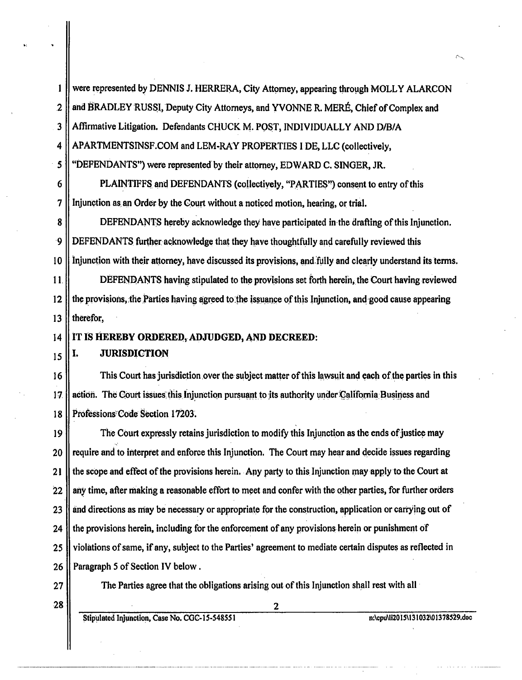were represented by DENNIS J. HERRERA, City Attorney, appearing through MOLLY ALARCON  $\mathbf{1}$  $\overline{2}$ and BRADLEY RUSSI, Deputy City Attorneys, and YVONNE R. MERÉ, Chief of Complex and Affirmative Litigation. Defendants CHUCK M. POST, INDIVIDUALLY AND D/B/A 3  $\overline{\mathbf{4}}$ APARTMENTSINSF.COM and LEM-RAY PROPERTIES I DE, LLC (collectively, 5 "DEFENDANTS") were represented by their attorney, EDWARD C. SINGER, JR.

6 PLAINTIFFS and DEFENDANTS (collectively, "PARTIES") consent to entry of this  $\overline{7}$ Injunction as an Order by the Court without a noticed motion, hearing, or trial.

8 DEFENDANTS hereby acknowledge they have participated in the drafting of this Injunction.  $\cdot$ 9 DEFENDANTS further acknowledge that they have thoughtfully and carefully reviewed this  $10$ Injunction with their attorney, have discussed its provisions, and fully and clearly understand its terms.

 $11.$ DEFENDANTS having stipulated to the provisions set forth herein, the Court having reviewed  $12$ the provisions, the Parties having agreed to the issuance of this Injunction, and good cause appearing 13 therefor.

IT IS HEREBY ORDERED, ADJUDGED, AND DECREED:

#### **JURISDICTION** Ι.

16 This Court has jurisdiction over the subject matter of this lawsuit and each of the parties in this 17 action. The Court issues this Injunction pursuant to its authority under California Business and Professions Code Section 17203. 18

The Court expressly retains jurisdiction to modify this Injunction as the ends of justice may 19 require and to interpret and enforce this Injunction. The Court may hear and decide issues regarding 20  $21$ the scope and effect of the provisions herein. Any party to this Injunction may apply to the Court at  $22$ any time, after making a reasonable effort to meet and confer with the other parties, for further orders 23 and directions as may be necessary or appropriate for the construction, application or carrying out of the provisions herein, including for the enforcement of any provisions herein or punishment of 24 violations of same, if any, subject to the Parties' agreement to mediate certain disputes as reflected in 25 Paragraph 5 of Section IV below. 26

 $27$ 

 $14$ 

15

The Parties agree that the obligations arising out of this Injunction shall rest with all

 $\overline{2}$ 

28

Stipulated Injunction, Case No. CGC-15-548551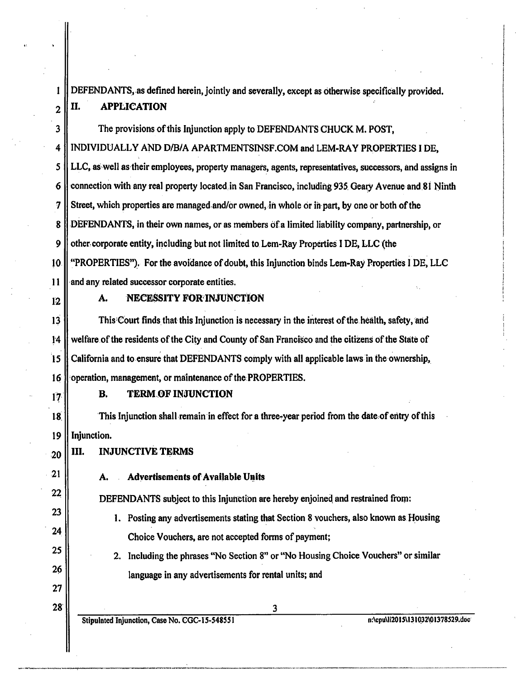DEFENDANTS, as defined herein, jointly and severally, except as otherwise specifically provided.  $2 \parallel$  II. APPLICATION

3 The provisions of this Injunction apply to DEFENDANTS CHUCK M. POST, 4 INDIVIDUALLY AND D/B/A APARTMENTSINSF.COM and LEM-RAY PROPERTIES I DE, 5 LLC, as·well as·their employees, property managers, agents, representatives, successors, and assigns in 6 **connection with any real property located in San Francisco, including 935 Geary Avenue and 81 Ninth**  $7 \parallel$  Street, which properties are managed and/or owned, in whole or in part, by one or both of the 8 DEFENDANTS, in their own names, or as members ofa limited liability company, partnership, or 9 | other corporate entity, including but not limited to Lem-Ray Properties I DE, LLC (the 10 "PROPERTIES").. For the avoidance of doubt, this Injunction binds Lem-Ray Hroperties I DE, LLC  $11$   $\parallel$  and any related successor corporate entities.

 $\mathbf{1}$ 

### $_{12}$  | A. NECESSITY FOR INJUNCTION

 $13$   $\parallel$  This Court finds that this Injunction is necessary in the interest of the health, safety, and  $\lceil 4 \rceil$  welfare of the residents of the City and County of San Francisco and the citizens of the State of 15 California and to.ensure that DEFENDANTS comply with all applicable laws in the·ownership, 16 **operation**, management, or maintenance of the PROPERTIES.

21

22

23

24

25

26

27

28'

# $\| \mathbf{B}$ . TERM OF INJUNCTION

is: This Injunction shall remain in effect for a three-year period from the date, of entry of this 19 Injunction.

 $_{20}$  || III. INJUNCTIVE TERMS

A. Advertisements of Available Units

DEFENDANTS subject to this Injunction are hereby enjoined and restrained from:

1. Posting any advertisements stating that Section 8 vouchers, also known as Housing Choice Vouchers, are not accepted fonns of payment;

2. Including the phrases "No Section 8" or "No Housing Choice Vouchers" or similar language in any advertisements for rental units; and

Stipulated Injunction, Case No. CGC-15-548551 and the method of the method of the method of the method of the method of the method of the method of the method of the method of the method of the method of the method of the

-----··--·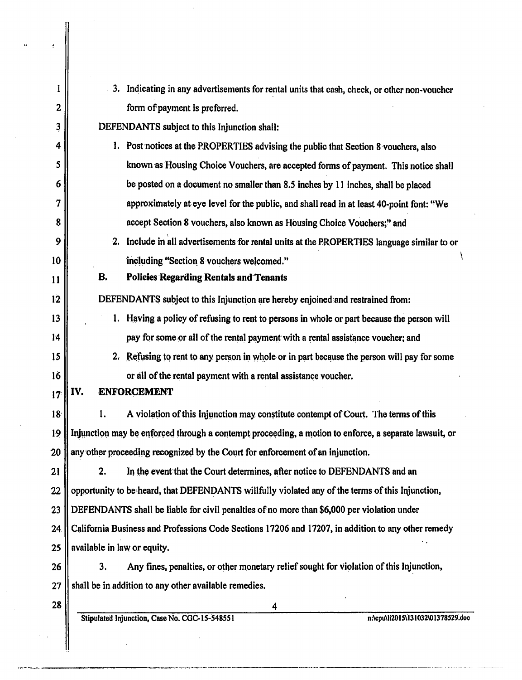| I                | 3. Indicating in any advertisements for rental units that cash, check, or other non-voucher           |  |  |
|------------------|-------------------------------------------------------------------------------------------------------|--|--|
| $\mathbf{2}$     | form of payment is preferred.                                                                         |  |  |
| 3                | DEFENDANTS subject to this Injunction shall:                                                          |  |  |
| 4                | 1. Post notices at the PROPERTIES advising the public that Section 8 vouchers, also                   |  |  |
| 5                | known as Housing Choice Vouchers, are accepted forms of payment. This notice shall                    |  |  |
| 6                | be posted on a document no smaller than 8.5 inches by 11 inches, shall be placed                      |  |  |
| 7                | approximately at eye level for the public, and shall read in at least 40-point font: "We              |  |  |
| 8                | accept Section 8 vouchers, also known as Housing Choice Vouchers;" and                                |  |  |
| 9                | 2. Include in all advertisements for rental units at the PROPERTIES language similar to or            |  |  |
| 10               | including "Section 8 vouchers welcomed."                                                              |  |  |
| 11               | В.<br><b>Policies Regarding Rentals and Tenants</b>                                                   |  |  |
| 12 <sub>12</sub> | DEFENDANTS subject to this Injunction are hereby enjoined and restrained from:                        |  |  |
| 13               | Having a policy of refusing to rent to persons in whole or part because the person will               |  |  |
| 14               | pay for some or all of the rental payment with a rental assistance voucher; and                       |  |  |
| 15               | Refusing to rent to any person in whole or in part because the person will pay for some<br>2r         |  |  |
| 16               | or all of the rental payment with a rental assistance voucher.                                        |  |  |
| 17               | IV.<br><b>ENFORCEMENT</b>                                                                             |  |  |
| 18               | A violation of this Injunction may constitute contempt of Court. The terms of this<br>1.              |  |  |
| 19               | Injunction may be enforced through a contempt proceeding, a motion to enforce, a separate lawsuit, or |  |  |
| 20               | any other proceeding recognized by the Court for enforcement of an injunction.                        |  |  |
| 21               | In the event that the Court determines, after notice to DEFENDANTS and an<br>2.                       |  |  |
| 22               | opportunity to be heard, that DEFENDANTS willfully violated any of the terms of this Injunction,      |  |  |
| 23               | DEFENDANTS shall be liable for civil penalties of no more than \$6,000 per violation under            |  |  |
| 24               | California Business and Professions Code Sections 17206 and 17207, in addition to any other remedy    |  |  |
| 25               | available in law or equity.                                                                           |  |  |
| 26               | Any fines, penalties, or other monetary relief sought for violation of this Injunction,<br>3.         |  |  |
| 27               | shall be in addition to any other available remedies.                                                 |  |  |
| 28               | 4                                                                                                     |  |  |
|                  | Stipulated Injunction, Case No. CGC-15-548551<br>n:\cpu\li2015\131032\01378529.doc                    |  |  |
|                  |                                                                                                       |  |  |

 $\hat{d}$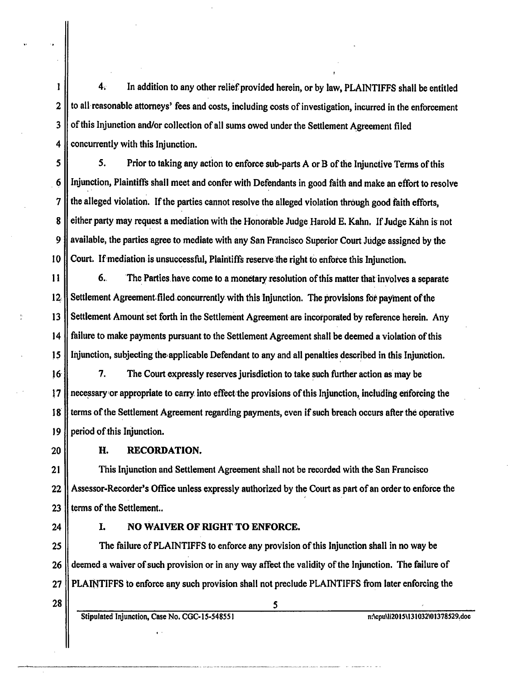$\mathbf{I}$ 4, In addition to any other relief provided herein, or by law, PLAINTIFFS shall be entitled 2 || to all reasonable attorneys' fees and costs, including costs of investigation, incurred in the enforcement 3 | of this Injunction and/or collection of all sums owed under the Settlement Agreement filed  $4$  | concurrently with this Injunction.

*5 5.* Prior to taking any action to enforce sub-parts A or B of the Injunctive Terms of this 6 || Injunction, Plaintiffs shall meet and confer- with Defendants in good faith and make an effort to resolve  $7 \parallel$  the alleged violation. If the parties cannot resolve the alleged violation through good faith efforts, 8 either party may request a mediation with the Honorable Judge Harold E. Kahn. If Judge Kahn is not 9 || available, the parties agree to mediate with any San Francisco Superior Court Judge assigned by the 10 Court. If mediation is unsuccessful, Plaintiffs reserve the right to enforce this Injunction.

11 6. The Parties have come to a monetary resolution of this matter that involves a separate  $12$ . Settlement Agreement filed concurrently with this Injunction. The provisions for payment of the 13 Settlement Amount set forth in the Settlement Agreement are incorporated by reference herein. Any 14 failure to make payments pursuant to the Settlement Agreement shall be deemed a violation of this 15  $\parallel$  Injunction, subjecting the applicable Defendant to any and all penalties described in this Injunction.

16 | 7. The Court expressly reserves jurisdiction to take such further action as may be 17 || necessary or appropriate to carry into effect the provisions of this Injunction, including enforcing the 18. terms of the Settlement Agreement regarding payments, even if such breach occurs after the operative  $19$  | period of this Injunction.

20

### H. RECORDATION.

21 This Injunction and Settlement Agreement shall not be recorded with the San Francisco 22 Assessor-Recorder's Office unless expressly authorized by the Court as part of an order to enforce the 23  $\parallel$  terms of the Settlement..

#### 24 | I. NO WAIVER OF RIGHT TO ENFORCE.

25 **The failure of PLAINTIFFS** to enforce any provision of this Injunction shall in no way be 26 deemed a waiver of such provision or in any way affect the validity of the Injunction. The failure of 27 || PLAINTIFFS to enforce any such provision shall not preclude PLAINTIFFS from later enforcing the

 $28 \parallel$  5

Stipulated Injunction, Case No. CGC-15-548551 n:\cpu\li2015\l31032\01378529,doc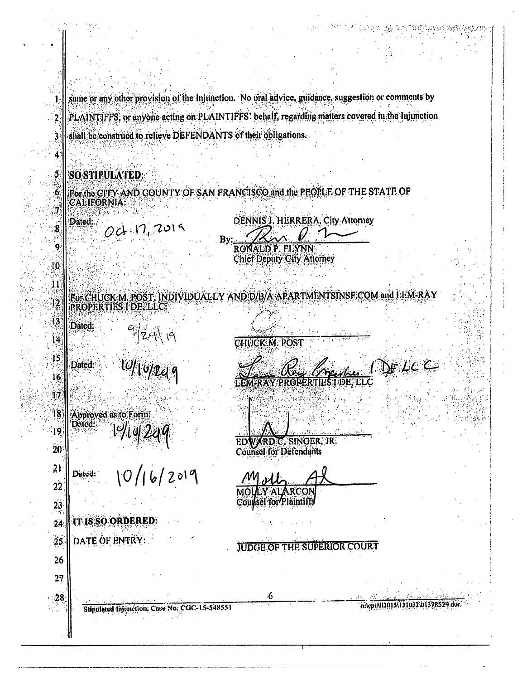same or any other provision of the Injunction. No oral advice, guidance, suggestion or comments by PLAINTIFFS, or anyone acting on PLAINTIFFS' behalf, regarding matters covered in the Injunction shall be construed to relieve DEFENDANTS of their obligations.

# **SO STIPULATED:**

 $\overline{2}$ 

Ś

4

 $\mathbf{5}$ 

6

For the CITY AND COUNTY OF SAN FRANCISCO and the PEOPLE OF THE STATE OF *CALIFORNIA* 

**DENNIS J. HURRERA, City Attorney** Dated:  $001.72019$ 8 By: .<br>9 RONALD'P. FLYNN **Chief Deputy City Attorney** -10 FOLCHUCK M. POST, INDIVIDUALLY AND D/B/A-APARTMENTSINSF.COM and LHM-RA  $\overline{12}$ PROPERTIES I DE, LLC 13 Dated:  $\frac{1}{\frac{1}{2}}$ 14 **CHUCK M. POST**  $\frac{15}{2}$ DELLE Dated: 16 T DE ÎŻ Approved as to Form:  $18$ Dated: ျစွ  $10/16/2019$ SINGER. JR. ЕD n n 20 **Counsel for Defendants**  $21$ Dated:  $22$ RCOI Counsel for Plaintiffs  $23$ IT IS SO ORDERED:  $24$ DATE OF ENTRY:  $25$ **JUDGE OF THE SUPERIOR COURT** 26  $27$  $\frac{28}{5}$ n:\cpi\\12015\1310\2\01378529.doc Stipulated Injunction, Case No. CGC-15-548551